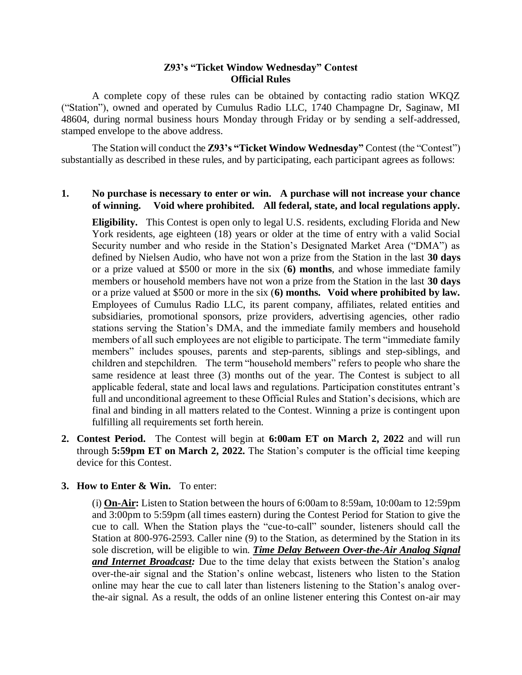## **Z93's "Ticket Window Wednesday" Contest Official Rules**

A complete copy of these rules can be obtained by contacting radio station WKQZ ("Station"), owned and operated by Cumulus Radio LLC, 1740 Champagne Dr, Saginaw, MI 48604, during normal business hours Monday through Friday or by sending a self-addressed, stamped envelope to the above address.

The Station will conduct the **Z93's "Ticket Window Wednesday"** Contest (the "Contest") substantially as described in these rules, and by participating, each participant agrees as follows:

## **1. No purchase is necessary to enter or win. A purchase will not increase your chance of winning. Void where prohibited. All federal, state, and local regulations apply.**

**Eligibility.** This Contest is open only to legal U.S. residents, excluding Florida and New York residents, age eighteen (18) years or older at the time of entry with a valid Social Security number and who reside in the Station's Designated Market Area ("DMA") as defined by Nielsen Audio, who have not won a prize from the Station in the last **30 days** or a prize valued at \$500 or more in the six (**6) months**, and whose immediate family members or household members have not won a prize from the Station in the last **30 days** or a prize valued at \$500 or more in the six (**6) months. Void where prohibited by law.** Employees of Cumulus Radio LLC, its parent company, affiliates, related entities and subsidiaries, promotional sponsors, prize providers, advertising agencies, other radio stations serving the Station's DMA, and the immediate family members and household members of all such employees are not eligible to participate. The term "immediate family members" includes spouses, parents and step-parents, siblings and step-siblings, and children and stepchildren. The term "household members" refers to people who share the same residence at least three (3) months out of the year. The Contest is subject to all applicable federal, state and local laws and regulations. Participation constitutes entrant's full and unconditional agreement to these Official Rules and Station's decisions, which are final and binding in all matters related to the Contest. Winning a prize is contingent upon fulfilling all requirements set forth herein.

**2. Contest Period.** The Contest will begin at **6:00am ET on March 2, 2022** and will run through **5:59pm ET on March 2, 2022.** The Station's computer is the official time keeping device for this Contest.

## **3. How to Enter & Win.** To enter:

(i) **On-Air:** Listen to Station between the hours of 6:00am to 8:59am, 10:00am to 12:59pm and 3:00pm to 5:59pm (all times eastern) during the Contest Period for Station to give the cue to call. When the Station plays the "cue-to-call" sounder, listeners should call the Station at 800-976-2593. Caller nine (9) to the Station, as determined by the Station in its sole discretion, will be eligible to win. *Time Delay Between Over-the-Air Analog Signal and Internet Broadcast:* Due to the time delay that exists between the Station's analog over-the-air signal and the Station's online webcast, listeners who listen to the Station online may hear the cue to call later than listeners listening to the Station's analog overthe-air signal. As a result, the odds of an online listener entering this Contest on-air may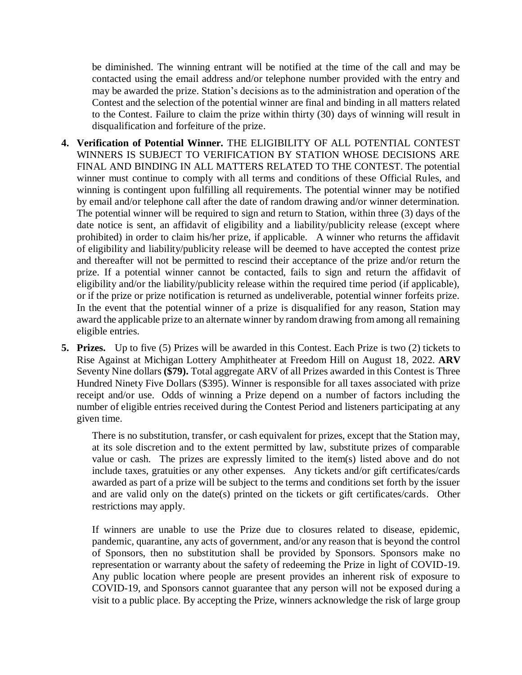be diminished. The winning entrant will be notified at the time of the call and may be contacted using the email address and/or telephone number provided with the entry and may be awarded the prize. Station's decisions as to the administration and operation of the Contest and the selection of the potential winner are final and binding in all matters related to the Contest. Failure to claim the prize within thirty (30) days of winning will result in disqualification and forfeiture of the prize.

- **4. Verification of Potential Winner.** THE ELIGIBILITY OF ALL POTENTIAL CONTEST WINNERS IS SUBJECT TO VERIFICATION BY STATION WHOSE DECISIONS ARE FINAL AND BINDING IN ALL MATTERS RELATED TO THE CONTEST. The potential winner must continue to comply with all terms and conditions of these Official Rules, and winning is contingent upon fulfilling all requirements. The potential winner may be notified by email and/or telephone call after the date of random drawing and/or winner determination. The potential winner will be required to sign and return to Station, within three (3) days of the date notice is sent, an affidavit of eligibility and a liability/publicity release (except where prohibited) in order to claim his/her prize, if applicable. A winner who returns the affidavit of eligibility and liability/publicity release will be deemed to have accepted the contest prize and thereafter will not be permitted to rescind their acceptance of the prize and/or return the prize. If a potential winner cannot be contacted, fails to sign and return the affidavit of eligibility and/or the liability/publicity release within the required time period (if applicable), or if the prize or prize notification is returned as undeliverable, potential winner forfeits prize. In the event that the potential winner of a prize is disqualified for any reason, Station may award the applicable prize to an alternate winner by random drawing from among all remaining eligible entries.
- **5. Prizes.** Up to five (5) Prizes will be awarded in this Contest. Each Prize is two (2) tickets to Rise Against at Michigan Lottery Amphitheater at Freedom Hill on August 18, 2022. **ARV**  Seventy Nine dollars **(\$79).** Total aggregate ARV of all Prizes awarded in this Contest is Three Hundred Ninety Five Dollars (\$395). Winner is responsible for all taxes associated with prize receipt and/or use. Odds of winning a Prize depend on a number of factors including the number of eligible entries received during the Contest Period and listeners participating at any given time.

There is no substitution, transfer, or cash equivalent for prizes, except that the Station may, at its sole discretion and to the extent permitted by law, substitute prizes of comparable value or cash. The prizes are expressly limited to the item(s) listed above and do not include taxes, gratuities or any other expenses. Any tickets and/or gift certificates/cards awarded as part of a prize will be subject to the terms and conditions set forth by the issuer and are valid only on the date(s) printed on the tickets or gift certificates/cards. Other restrictions may apply.

If winners are unable to use the Prize due to closures related to disease, epidemic, pandemic, quarantine, any acts of government, and/or any reason that is beyond the control of Sponsors, then no substitution shall be provided by Sponsors. Sponsors make no representation or warranty about the safety of redeeming the Prize in light of COVID-19. Any public location where people are present provides an inherent risk of exposure to COVID-19, and Sponsors cannot guarantee that any person will not be exposed during a visit to a public place. By accepting the Prize, winners acknowledge the risk of large group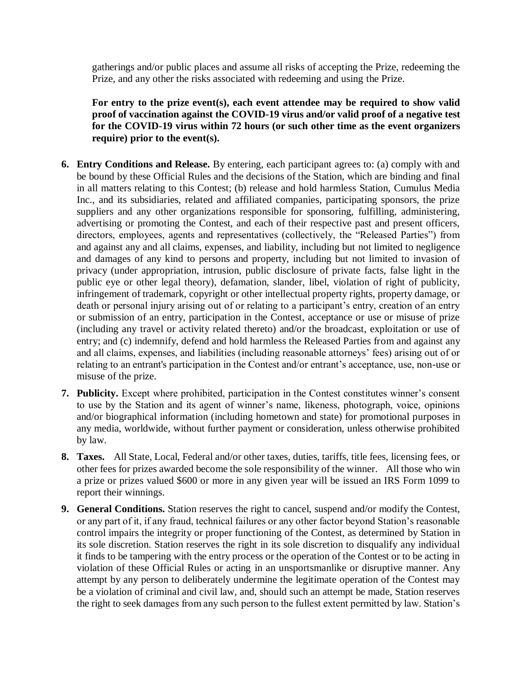gatherings and/or public places and assume all risks of accepting the Prize, redeeming the Prize, and any other the risks associated with redeeming and using the Prize.

**For entry to the prize event(s), each event attendee may be required to show valid proof of vaccination against the COVID-19 virus and/or valid proof of a negative test for the COVID-19 virus within 72 hours (or such other time as the event organizers require) prior to the event(s).**

- **6. Entry Conditions and Release.** By entering, each participant agrees to: (a) comply with and be bound by these Official Rules and the decisions of the Station, which are binding and final in all matters relating to this Contest; (b) release and hold harmless Station, Cumulus Media Inc., and its subsidiaries, related and affiliated companies, participating sponsors, the prize suppliers and any other organizations responsible for sponsoring, fulfilling, administering, advertising or promoting the Contest, and each of their respective past and present officers, directors, employees, agents and representatives (collectively, the "Released Parties") from and against any and all claims, expenses, and liability, including but not limited to negligence and damages of any kind to persons and property, including but not limited to invasion of privacy (under appropriation, intrusion, public disclosure of private facts, false light in the public eye or other legal theory), defamation, slander, libel, violation of right of publicity, infringement of trademark, copyright or other intellectual property rights, property damage, or death or personal injury arising out of or relating to a participant's entry, creation of an entry or submission of an entry, participation in the Contest, acceptance or use or misuse of prize (including any travel or activity related thereto) and/or the broadcast, exploitation or use of entry; and (c) indemnify, defend and hold harmless the Released Parties from and against any and all claims, expenses, and liabilities (including reasonable attorneys' fees) arising out of or relating to an entrant's participation in the Contest and/or entrant's acceptance, use, non-use or misuse of the prize.
- **7. Publicity.** Except where prohibited, participation in the Contest constitutes winner's consent to use by the Station and its agent of winner's name, likeness, photograph, voice, opinions and/or biographical information (including hometown and state) for promotional purposes in any media, worldwide, without further payment or consideration, unless otherwise prohibited by law.
- **8. Taxes.** All State, Local, Federal and/or other taxes, duties, tariffs, title fees, licensing fees, or other fees for prizes awarded become the sole responsibility of the winner. All those who win a prize or prizes valued \$600 or more in any given year will be issued an IRS Form 1099 to report their winnings.
- **9. General Conditions.** Station reserves the right to cancel, suspend and/or modify the Contest, or any part of it, if any fraud, technical failures or any other factor beyond Station's reasonable control impairs the integrity or proper functioning of the Contest, as determined by Station in its sole discretion. Station reserves the right in its sole discretion to disqualify any individual it finds to be tampering with the entry process or the operation of the Contest or to be acting in violation of these Official Rules or acting in an unsportsmanlike or disruptive manner. Any attempt by any person to deliberately undermine the legitimate operation of the Contest may be a violation of criminal and civil law, and, should such an attempt be made, Station reserves the right to seek damages from any such person to the fullest extent permitted by law. Station's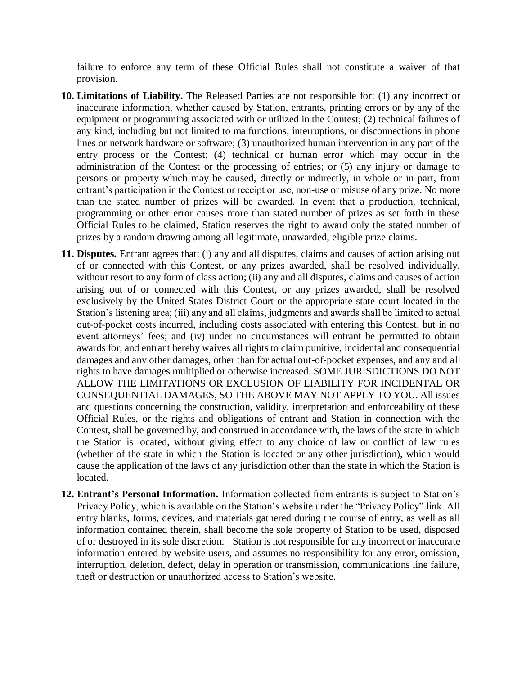failure to enforce any term of these Official Rules shall not constitute a waiver of that provision.

- **10. Limitations of Liability.** The Released Parties are not responsible for: (1) any incorrect or inaccurate information, whether caused by Station, entrants, printing errors or by any of the equipment or programming associated with or utilized in the Contest; (2) technical failures of any kind, including but not limited to malfunctions, interruptions, or disconnections in phone lines or network hardware or software; (3) unauthorized human intervention in any part of the entry process or the Contest; (4) technical or human error which may occur in the administration of the Contest or the processing of entries; or (5) any injury or damage to persons or property which may be caused, directly or indirectly, in whole or in part, from entrant's participation in the Contest or receipt or use, non-use or misuse of any prize. No more than the stated number of prizes will be awarded. In event that a production, technical, programming or other error causes more than stated number of prizes as set forth in these Official Rules to be claimed, Station reserves the right to award only the stated number of prizes by a random drawing among all legitimate, unawarded, eligible prize claims.
- **11. Disputes.** Entrant agrees that: (i) any and all disputes, claims and causes of action arising out of or connected with this Contest, or any prizes awarded, shall be resolved individually, without resort to any form of class action; (ii) any and all disputes, claims and causes of action arising out of or connected with this Contest, or any prizes awarded, shall be resolved exclusively by the United States District Court or the appropriate state court located in the Station's listening area; (iii) any and all claims, judgments and awards shall be limited to actual out-of-pocket costs incurred, including costs associated with entering this Contest, but in no event attorneys' fees; and (iv) under no circumstances will entrant be permitted to obtain awards for, and entrant hereby waives all rights to claim punitive, incidental and consequential damages and any other damages, other than for actual out-of-pocket expenses, and any and all rights to have damages multiplied or otherwise increased. SOME JURISDICTIONS DO NOT ALLOW THE LIMITATIONS OR EXCLUSION OF LIABILITY FOR INCIDENTAL OR CONSEQUENTIAL DAMAGES, SO THE ABOVE MAY NOT APPLY TO YOU. All issues and questions concerning the construction, validity, interpretation and enforceability of these Official Rules, or the rights and obligations of entrant and Station in connection with the Contest, shall be governed by, and construed in accordance with, the laws of the state in which the Station is located, without giving effect to any choice of law or conflict of law rules (whether of the state in which the Station is located or any other jurisdiction), which would cause the application of the laws of any jurisdiction other than the state in which the Station is located.
- **12. Entrant's Personal Information.** Information collected from entrants is subject to Station's Privacy Policy, which is available on the Station's website under the "Privacy Policy" link. All entry blanks, forms, devices, and materials gathered during the course of entry, as well as all information contained therein, shall become the sole property of Station to be used, disposed of or destroyed in its sole discretion. Station is not responsible for any incorrect or inaccurate information entered by website users, and assumes no responsibility for any error, omission, interruption, deletion, defect, delay in operation or transmission, communications line failure, theft or destruction or unauthorized access to Station's website.